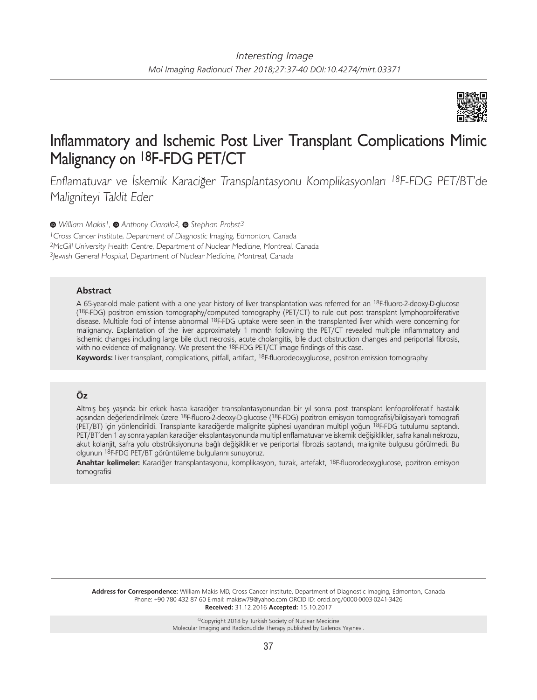

# Inflammatory and Ischemic Post Liver Transplant Complications Mimic Malignancy on 18F-FDG PET/CT

Enflamatuvar ve İskemik Karaciğer Transplantasyonu Komplikasyonları <sup>18</sup>F-FDG PET/BT'de Maligniteyi Taklit Eder

*William Makis1,Anthony Ciarallo2,Stephan Probst3*

<sup>1</sup> Cross Cancer Institute, Department of Diagnostic Imaging, Edmonton, Canada <sup>2</sup>McGill University Health Centre, Department of Nuclear Medicine, Montreal, Canada <sup>3</sup> Jewish General Hospital, Department of Nuclear Medicine, Montreal, Canada

### **Abstract**

A 65-year-old male patient with a one year history of liver transplantation was referred for an 18F-fluoro-2-deoxy-D-glucose (18F-FDG) positron emission tomography/computed tomography (PET/CT) to rule out post transplant lymphoproliferative disease. Multiple foci of intense abnormal 18F-FDG uptake were seen in the transplanted liver which were concerning for malignancy. Explantation of the liver approximately 1 month following the PET/CT revealed multiple inflammatory and ischemic changes including large bile duct necrosis, acute cholangitis, bile duct obstruction changes and periportal fibrosis, with no evidence of malignancy. We present the 18F-FDG PET/CT image findings of this case.

**Keywords:** Liver transplant, complications, pitfall, artifact, 18F-fluorodeoxyglucose, positron emission tomography

## **Öz**

Altmış beş yaşında bir erkek hasta karaciğer transplantasyonundan bir yıl sonra post transplant lenfoproliferatif hastalık açısından değerlendirilmek üzere 18F-fluoro-2-deoxy-D-glucose (18F-FDG) pozitron emisyon tomografisi/bilgisayarlı tomografi (PET/BT) için yönlendirildi. Transplante karaciğerde malignite şüphesi uyandıran multipl yoğun 18F-FDG tutulumu saptandı. PET/BT'den 1 ay sonra yapılan karaciğer eksplantasyonunda multipl enflamatuvar ve iskemik değişiklikler, safra kanalı nekrozu, akut kolanjit, safra yolu obstrüksiyonuna bağlı değişiklikler ve periportal fibrozis saptandı, malignite bulgusu görülmedi. Bu olgunun 18F-FDG PET/BT görüntüleme bulgularını sunuyoruz.

**Anahtar kelimeler:** Karaciğer transplantasyonu, komplikasyon, tuzak, artefakt, 18F-fluorodeoxyglucose, pozitron emisyon tomografisi

**Address for Correspondence:** William Makis MD, Cross Cancer Institute, Department of Diagnostic Imaging, Edmonton, Canada Phone: +90 780 432 87 60 E-mail: makisw79@yahoo.com ORCID ID: orcid.org/0000-0003-0241-3426 **Received:** 31.12.2016 **Accepted:** 15.10.2017

> ©Copyright 2018 by Turkish Society of Nuclear Medicine Molecular Imaging and Radionuclide Therapy published by Galenos Yayınevi.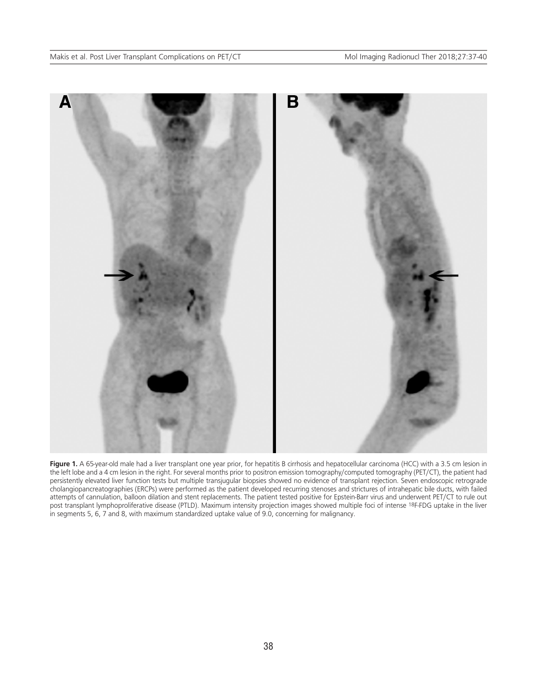

Figure 1. A 65-year-old male had a liver transplant one year prior, for hepatitis B cirrhosis and hepatocellular carcinoma (HCC) with a 3.5 cm lesion in the left lobe and a 4 cm lesion in the right. For several months prior to positron emission tomography/computed tomography (PET/CT), the patient had persistently elevated liver function tests but multiple transjugular biopsies showed no evidence of transplant rejection. Seven endoscopic retrograde cholangiopancreatographies (ERCPs) were performed as the patient developed recurring stenoses and strictures of intrahepatic bile ducts, with failed attempts of cannulation, balloon dilation and stent replacements. The patient tested positive for Epstein-Barr virus and underwent PET/CT to rule out post transplant lymphoproliferative disease (PTLD). Maximum intensity projection images showed multiple foci of intense 18F-FDG uptake in the liver in segments 5, 6, 7 and 8, with maximum standardized uptake value of 9.0, concerning for malignancy.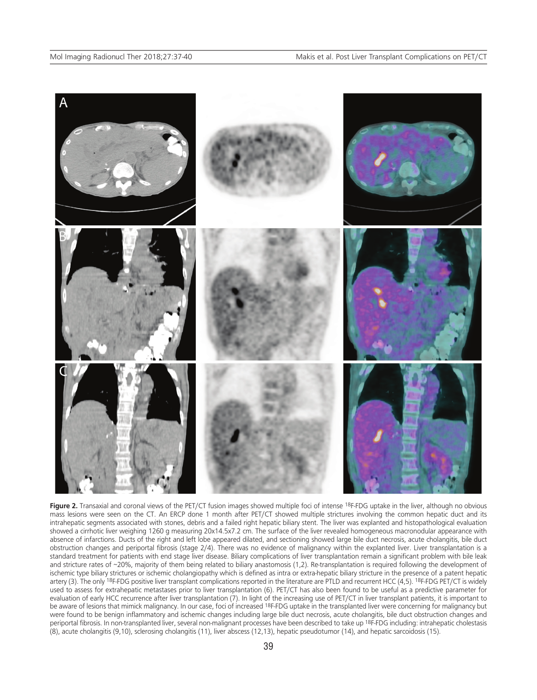

Figure 2. Transaxial and coronal views of the PET/CT fusion images showed multiple foci of intense <sup>18</sup>F-FDG uptake in the liver, although no obvious mass lesions were seen on the CT. An ERCP done 1 month after PET/CT showed multiple strictures involving the common hepatic duct and its intrahepatic segments associated with stones, debris and a failed right hepatic biliary stent. The liver was explanted and histopathological evaluation showed a cirrhotic liver weighing 1260 g measuring 20x14.5x7.2 cm. The surface of the liver revealed homogeneous macronodular appearance with absence of infarctions. Ducts of the right and left lobe appeared dilated, and sectioning showed large bile duct necrosis, acute cholangitis, bile duct obstruction changes and periportal fibrosis (stage 2/4). There was no evidence of malignancy within the explanted liver. Liver transplantation is a standard treatment for patients with end stage liver disease. Biliary complications of liver transplantation remain a significant problem with bile leak and stricture rates of ~20%, majority of them being related to biliary anastomosis (1,2). Re-transplantation is required following the development of ischemic type biliary strictures or ischemic cholangiopathy which is defined as intra or extra-hepatic biliary stricture in the presence of a patent hepatic artery (3). The only <sup>18</sup>F-FDG positive liver transplant complications reported in the literature are PTLD and recurrent HCC (4,5). <sup>18</sup>F-FDG PET/CT is widely used to assess for extrahepatic metastases prior to liver transplantation (6). PET/CT has also been found to be useful as a predictive parameter for evaluation of early HCC recurrence after liver transplantation (7). In light of the increasing use of PET/CT in liver transplant patients, it is important to be aware of lesions that mimick malignancy. In our case, foci of increased <sup>18</sup>F-FDG uptake in the transplanted liver were concerning for malignancy but were found to be benign inflammatory and ischemic changes including large bile duct necrosis, acute cholangitis, bile duct obstruction changes and periportal fibrosis. In non-transplanted liver, several non-malignant processes have been described to take up 18F-FDG including: intrahepatic cholestasis (8), acute cholangitis (9,10), sclerosing cholangitis (11), liver abscess (12,13), hepatic pseudotumor (14), and hepatic sarcoidosis (15).